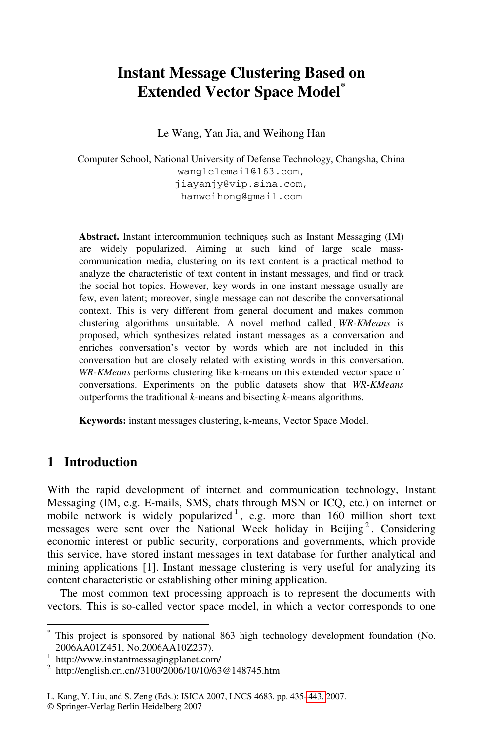# **Instant Message Clustering Based on Extended Vector Space Model\***

Le Wang, Yan Jia, and Weihong Han

Computer School, National University of Defense Technology, Changsha, China wanglelemail@163.com, jiayanjy@vip.sina.com, hanweihong@gmail.com

**Abstract.** Instant intercommunion techniques such as Instant Messaging (IM) are widely popularized. Aiming at such kind of large scale masscommunication media, clustering on its text content is a practical method to analyze the characteristic of text content in instant messages, and find or track the social hot topics. However, key words in one instant message usually are few, even latent; moreover, single message can not describe the conversational context. This is very different from general document and makes common clustering algorithms unsuitable. A novel method called *WR-KMeans* is proposed, which synthesizes related instant messages as a conversation and enriches conversation's vector by words which are not included in this conversation but are closely related with existing words in this conversation. *WR-KMeans* performs clustering like k-means on this extended vector space of conversations. Experiments on the public datasets show that *WR-KMeans* outperforms the traditional *k*-means and bisecting *k*-means algorithms.

**Keywords:** instant messages clustering, k-means, Vector Space Model.

### **1 Introduction**

-

With the rapid development of internet and communication technology, Instant Messaging (IM, e.g. E-mails, SMS, chats through MSN or ICQ, etc.) on internet or mobile network is widely popularized<sup>1</sup>, e.g. more than 160 million short text messages were sent over the National Week holiday in Beijing<sup>2</sup>. Considering economic interest or public security, corporations and governments, which provide this service, have stored instant messages in text database for further analytical and mining applications [1]. Instant message clustering is very useful for analyzing its content characteristic or establishing other mining application.

The most common text processi[ng ap](#page-8-0)proach is to represent the documents with vectors. This is so-called vector space model, in which a vector corresponds to one

<sup>\*</sup> This project is sponsored by national 863 high technology development foundation (No. 2006AA01Z451, No.2006AA10Z237). 1

http://www.instantmessagingplanet.com/

<sup>&</sup>lt;sup>2</sup> http://english.cri.cn//3100/2006/10/10/63@148745.htm

L. Kang, Y. Liu, and S. Zeng (Eds.): ISICA 2007, LNCS 4683, pp. 435–443, 2007.

<sup>©</sup> Springer-Verlag Berlin Heidelberg 2007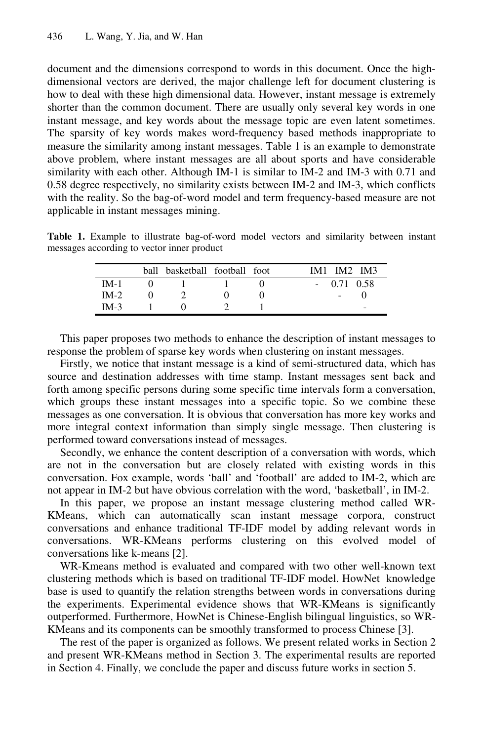document and the dimensions correspond to words in this document. Once the highdimensional vectors are derived, the major challenge left for document clustering is how to deal with these high dimensional data. However, instant message is extremely shorter than the common document. There are usually only several key words in one instant message, and key words about the message topic are even latent sometimes. The sparsity of key words makes word-frequency based methods inappropriate to measure the similarity among instant messages. Table 1 is an example to demonstrate above problem, where instant messages are all about sports and have considerable similarity with each other. Although IM-1 is similar to IM-2 and IM-3 with 0.71 and 0.58 degree respectively, no similarity exists between IM-2 and IM-3, which conflicts with the reality. So the bag-of-word model and term frequency-based measure are not applicable in instant messages mining.

**Table 1.** Example to illustrate bag-of-word model vectors and similarity between instant messages according to vector inner product

|        | ball basketball football foot |  | IM2 IM3<br>IM1 |
|--------|-------------------------------|--|----------------|
| $IM-1$ |                               |  | $-0.71$ 0.58   |
| $IM-2$ |                               |  |                |
| $IM-3$ |                               |  |                |

This paper proposes two methods to enhance the description of instant messages to response the problem of sparse key words when clustering on instant messages.

Firstly, we notice that instant message is a kind of semi-structured data, which has source and destination addresses with time stamp. Instant messages sent back and forth among specific persons during some specific time intervals form a conversation, which groups these instant messages into a specific topic. So we combine these messages as one conversation. It is obvious that conversation has more key works and more integral context information than simply single message. Then clustering is performed toward conversations instead of messages.

Secondly, we enhance the content description of a conversation with words, which are not in the conversation but are closely related with existing words in this conversation. Fox example, words 'ball' and 'football' are added to IM-2, which are not appear in IM-2 but have obvious correlation with the word, 'basketball', in IM-2.

In this paper, we propose an instant message clustering method called WR-KMeans, which can automatically scan instant message corpora, construct conversations and enhance traditional TF-IDF model by adding relevant words in conversations. WR-KMeans performs clustering on this evolved model of conversations like k-means [2].

WR-Kmeans method is evaluated and compared with two other well-known text clustering methods which is based on traditional TF-IDF model. HowNet knowledge base is used to quantify the relation strengths between words in conversations during the experiments. Experimental evidence shows that WR-KMeans is significantly outperformed. Furthermore, HowNet is Chinese-English bilingual linguistics, so WR-KMeans and its components can be smoothly transformed to process Chinese [3].

The rest of the paper is organized as follows. We present related works in Section 2 and present WR-KMeans method in Section 3. The experimental results are reported in Section 4. Finally, we conclude the paper and discuss future works in section 5.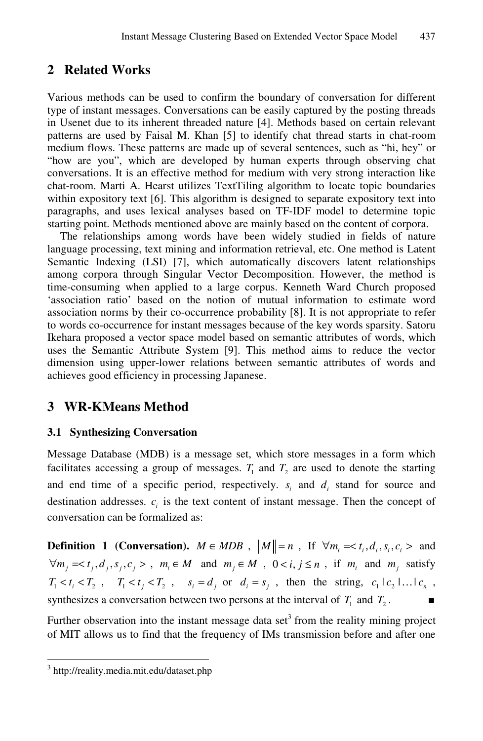## **2 Related Works**

Various methods can be used to confirm the boundary of conversation for different type of instant messages. Conversations can be easily captured by the posting threads in Usenet due to its inherent threaded nature [4]. Methods based on certain relevant patterns are used by Faisal M. Khan [5] to identify chat thread starts in chat-room medium flows. These patterns are made up of several sentences, such as "hi, hey" or "how are you", which are developed by human experts through observing chat conversations. It is an effective method for medium with very strong interaction like chat-room. Marti A. Hearst utilizes TextTiling algorithm to locate topic boundaries within expository text [6]. This algorithm is designed to separate expository text into paragraphs, and uses lexical analyses based on TF-IDF model to determine topic starting point. Methods mentioned above are mainly based on the content of corpora.

The relationships among words have been widely studied in fields of nature language processing, text mining and information retrieval, etc. One method is Latent Semantic Indexing (LSI) [7], which automatically discovers latent relationships among corpora through Singular Vector Decomposition. However, the method is time-consuming when applied to a large corpus. Kenneth Ward Church proposed 'association ratio' based on the notion of mutual information to estimate word association norms by their co-occurrence probability [8]. It is not appropriate to refer to words co-occurrence for instant messages because of the key words sparsity. Satoru Ikehara proposed a vector space model based on semantic attributes of words, which uses the Semantic Attribute System [9]. This method aims to reduce the vector dimension using upper-lower relations between semantic attributes of words and achieves good efficiency in processing Japanese.

## **3 WR-KMeans Method**

### **3.1 Synthesizing Conversation**

Message Database (MDB) is a message set, which store messages in a form which facilitates accessing a group of messages.  $T_1$  and  $T_2$  are used to denote the starting and end time of a specific period, respectively.  $s_i$  and  $d_i$  stand for source and destination addresses.  $c_i$  is the text content of instant message. Then the concept of conversation can be formalized as:

**Definition 1 (Conversation).**  $M \in MDB$ ,  $\|M\| = n$ , If  $\forall m_i = *t_i, d_i, s_i, c_i >*$  and  $\forall m_j = < t_j, d_j, s_j, c_j > , m_i \in M$  and  $m_j \in M$ ,  $0 < i, j \le n$ , if  $m_i$  and  $m_j$  satisfy  $T_1 < t_i < T_2$ ,  $T_1 < t_i < T_2$ ,  $s_i = d_i$  or  $d_i = s_i$ , then the string,  $c_1 \mid c_2 \mid \ldots \mid c_n$ , synthesizes a conversation between two persons at the interval of  $T_1$  and  $T_2$ .

Further observation into the instant message data set<sup>3</sup> from the reality mining project of MIT allows us to find that the frequency of IMs transmission before and after one

 3 http://reality.media.mit.edu/dataset.php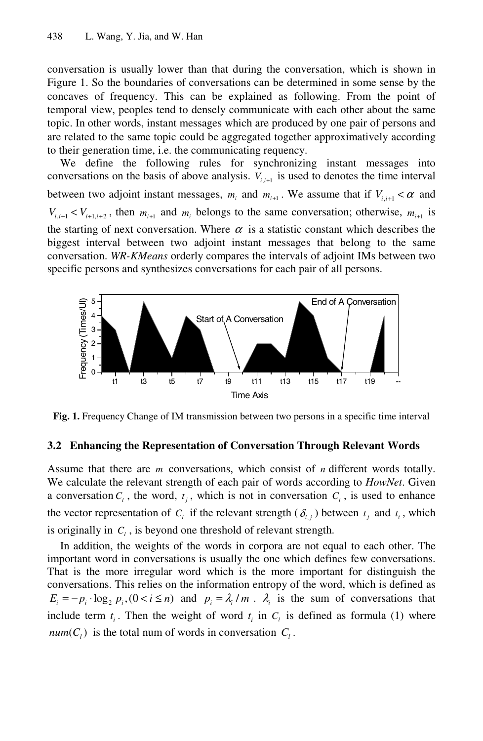conversation is usually lower than that during the conversation, which is shown in Figure 1. So the boundaries of conversations can be determined in some sense by the concaves of frequency. This can be explained as following. From the point of temporal view, peoples tend to densely communicate with each other about the same topic. In other words, instant messages which are produced by one pair of persons and are related to the same topic could be aggregated together approximatively according to their generation time, i.e. the communicating requency.

We define the following rules for synchronizing instant messages into conversations on the basis of above analysis.  $V_{i,i+1}$  is used to denotes the time interval between two adjoint instant messages,  $m_i$  and  $m_{i+1}$ . We assume that if  $V_{i,i+1} < \alpha$  and  $V_{i,i+1} < V_{i+1,i+2}$ , then  $m_{i+1}$  and  $m_i$  belongs to the same conversation; otherwise,  $m_{i+1}$  is the starting of next conversation. Where  $\alpha$  is a statistic constant which describes the biggest interval between two adjoint instant messages that belong to the same conversation. *WR-KMeans* orderly compares the intervals of adjoint IMs between two specific persons and synthesizes conversations for each pair of all persons.



**Fig. 1.** Frequency Change of IM transmission between two persons in a specific time interval

#### **3.2 Enhancing the Representation of Conversation Through Relevant Words**

Assume that there are *m* conversations, which consist of *n* different words totally. We calculate the relevant strength of each pair of words according to *HowNet*. Given a conversation  $C_l$ , the word,  $t_i$ , which is not in conversation  $C_l$ , is used to enhance the vector representation of  $C_i$  if the relevant strength ( $\delta_i$ , ) between  $t_i$ , and  $t_i$ , which is originally in  $C_l$ , is beyond one threshold of relevant strength.

In addition, the weights of the words in corpora are not equal to each other. The important word in conversations is usually the one which defines few conversations. That is the more irregular word which is the more important for distinguish the conversations. This relies on the information entropy of the word, which is defined as  $E_i = -p_i \cdot \log_2 p_i$ ,  $(0 < i \le n)$  and  $p_i = \lambda_i / m$ .  $\lambda_i$  is the sum of conversations that include term  $t_i$ . Then the weight of word  $t_i$  in  $C_i$  is defined as formula (1) where  $num(C_i)$  is the total num of words in conversation  $C_i$ .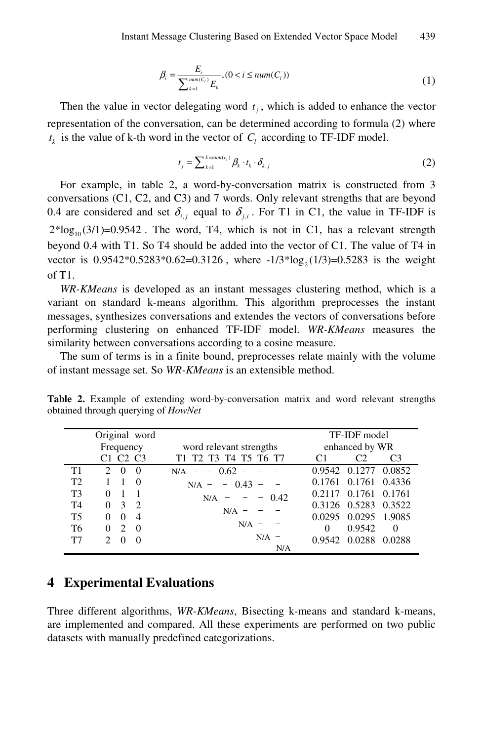$$
\beta_i = \frac{E_i}{\sum_{k=1}^{num(C_i)} E_k}, (0 < i \leq num(C_i))
$$
\n(1)

Then the value in vector delegating word  $t_i$ , which is added to enhance the vector representation of the conversation, can be determined according to formula (2) where  $t_k$  is the value of k-th word in the vector of  $C_l$  according to TF-IDF model.

$$
t_j = \sum_{k=1}^{k = num(c_i)} \beta_k \cdot t_k \cdot \delta_{k,j}
$$
 (2)

For example, in table 2, a word-by-conversation matrix is constructed from 3 conversations (C1, C2, and C3) and 7 words. Only relevant strengths that are beyond 0.4 are considered and set  $\delta_{i,j}$  equal to  $\delta_{j,i}$ . For T1 in C1, the value in TF-IDF is  $2*log_{10}(3/1)=0.9542$ . The word, T4, which is not in C1, has a relevant strength beyond 0.4 with T1. So T4 should be added into the vector of C1. The value of T4 in vector is  $0.9542*0.5283*0.62=0.3126$ , where  $-1/3*log_2(1/3)=0.5283$  is the weight of T1.

*WR-KMeans* is developed as an instant messages clustering method, which is a variant on standard k-means algorithm. This algorithm preprocesses the instant messages, synthesizes conversations and extendes the vectors of conversations before performing clustering on enhanced TF-IDF model. *WR-KMeans* measures the similarity between conversations according to a cosine measure.

The sum of terms is in a finite bound, preprocesses relate mainly with the volume of instant message set. So *WR-KMeans* is an extensible method.

| Original word  |               |                   |                                              |                                                                                                                                                                                                            | TF-IDF model   |                      |                |
|----------------|---------------|-------------------|----------------------------------------------|------------------------------------------------------------------------------------------------------------------------------------------------------------------------------------------------------------|----------------|----------------------|----------------|
|                | Frequency     |                   |                                              | word relevant strengths                                                                                                                                                                                    | enhanced by WR |                      |                |
|                |               |                   | C <sub>1</sub> C <sub>2</sub> C <sub>3</sub> | T1 T2 T3 T4 T5 T6 T7                                                                                                                                                                                       | C1             | C2                   | C <sub>3</sub> |
| T1             | $2^{\circ}$   | $0 \quad 0$       |                                              | $N/A$ - - 0.62 -                                                                                                                                                                                           |                | 0.9542 0.1277 0.0852 |                |
| T <sub>2</sub> | 1             | $\mathbf{1}$      | $\overline{0}$                               | $-0.43 -$<br>$N/A =$                                                                                                                                                                                       | 0.1761         | 0.1761               | 0.4336         |
| T <sub>3</sub> | $\Omega$      | $1\quad1$         |                                              | $N/A = - 0.42$                                                                                                                                                                                             | 0.2117         | 0.1761               | 0.1761         |
| T4             |               | $0 \t3 \t2$       |                                              | $N/A =$                                                                                                                                                                                                    |                | 0.3126 0.5283        | 0.3522         |
| T <sub>5</sub> |               | $0 \t 0 \t 4$     |                                              |                                                                                                                                                                                                            | 0.0295         | 0.0295 1.9085        |                |
| T6             |               | $0\quad 2\quad 0$ |                                              | $N/A$ -                                                                                                                                                                                                    | $\Omega$       | 0.9542               | $\overline{0}$ |
| T7             | $\mathcal{D}$ | $\Omega$          | $\Omega$                                     | $N/A$ -                                                                                                                                                                                                    |                | 0.9542 0.0288 0.0288 |                |
|                |               |                   |                                              | N/A                                                                                                                                                                                                        |                |                      |                |
|                |               |                   |                                              | <b>Experimental Evaluations</b>                                                                                                                                                                            |                |                      |                |
|                |               |                   |                                              | aree different algorithms, WR-KMeans, Bisecting k-means and standard k-me<br>e implemented and compared. All these experiments are performed on two pu<br>tasets with manually predefined categorizations. |                |                      |                |

**Table 2.** Example of extending word-by-conversation matrix and word relevant strengths obtained through querying of *HowNet*

### **4 Experimental Evaluations**

- -<br>N/A -<br>N/A -<br>perim<br>perim<br>pons. -<br>1<u>ยู</u><br>11 Three different algorithms, *WR-KMeans*, Bisecting k-means and standard k-means, are implemented and compared. All these experiments are performed on two public datasets with manually predefined categorizations.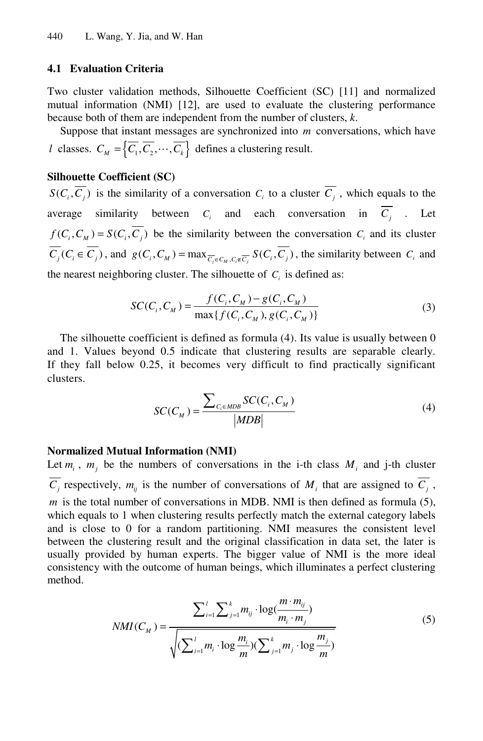#### **4.1 Evaluation Criteria**

Two cluster validation methods, Silhouette Coefficient (SC) [11] and normalized mutual information (NMI) [12], are used to evaluate the clustering performance because both of them are independent from the number of clusters, *k*.

Suppose that instant messages are synchronized into *m* conversations, which have *l* classes.  $C_M = \{ \overline{C_1}, \overline{C_2}, \cdots, \overline{C_k} \}$  defines a clustering result.

#### **Silhouette Coefficient (SC)**

 $S(C_i, \overline{C_i})$  is the similarity of a conversation  $C_i$  to a cluster  $\overline{C_i}$ , which equals to the average similarity between  $C_i$  and each conversation in  $\overline{C_i}$  . Let  $f(C_i, C_M) = S(C_i, \overline{C_i})$  be the similarity between the conversation  $C_i$  and its cluster  $\overline{C_j}(C_i \in \overline{C_j})$ , and  $g(C_i, C_M) = \max_{\overline{C_j} \in C_M, C_j \notin \overline{C_j}} S(C_i, \overline{C_j})$ , the similarity between  $C_i$  and the nearest neighboring cluster. The silhouette of  $C<sub>i</sub>$  is defined as:

$$
SC(C_i, C_M) = \frac{f(C_i, C_M) - g(C_i, C_M)}{\max\{f(C_i, C_M), g(C_i, C_M)\}}
$$
(3)

The silhouette coefficient is defined as formula (4). Its value is usually between 0 and 1. Values beyond 0.5 indicate that clustering results are separable clearly. If they fall below 0.25, it becomes very difficult to find practically significant clusters.

$$
SC(C_M) = \frac{\sum_{C_i \in MDB} SC(C_i, C_M)}{|MDB|} \tag{4}
$$

#### **Normalized Mutual Information (NMI)**

Let  $m_i$ ,  $m_j$  be the numbers of conversations in the i-th class  $M_i$  and j-th cluster  $\overline{C_i}$  respectively,  $m_{ij}$  is the number of conversations of  $M_i$  that are assigned to  $\overline{C_i}$ , *m* is the total number of conversations in MDB. NMI is then defined as formula (5), which equals to 1 when clustering results perfectly match the external category labels and is close to 0 for a random partitioning. NMI measures the consistent level between the clustering result and the original classification in data set, the later is usually provided by human experts. The bigger value of NMI is the more ideal consistency with the outcome of human beings, which illuminates a perfect clustering method.

$$
NMI(C_M) = \frac{\sum_{i=1}^{l} \sum_{j=1}^{k} m_{ij} \cdot \log(\frac{m \cdot m_{ij}}{m_i \cdot m_j})}{\sqrt{(\sum_{i=1}^{l} m_i \cdot \log \frac{m_i}{m})(\sum_{j=1}^{k} m_j \cdot \log \frac{m_j}{m})}}
$$
(5)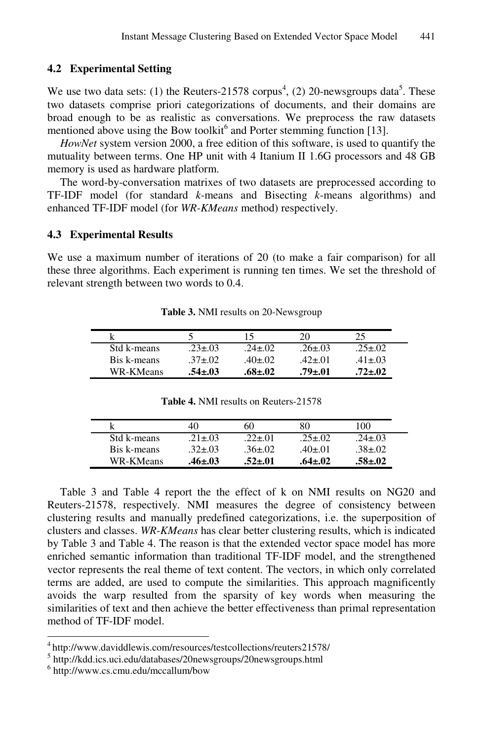#### **4.2 Experimental Setting**

We use two data sets: (1) the Reuters-21578 corpus<sup>4</sup>, (2) 20-newsgroups data<sup>5</sup>. These two datasets comprise priori categorizations of documents, and their domains are broad enough to be as realistic as conversations. We preprocess the raw datasets mentioned above using the Bow toolkit<sup>6</sup> and Porter stemming function [13].

*HowNet* system version 2000, a free edition of this software, is used to quantify the mutuality between terms. One HP unit with 4 Itanium II 1.6G processors and 48 GB memory is used as hardware platform.

The word-by-conversation matrixes of two datasets are preprocessed according to TF-IDF model (for standard *k*-means and Bisecting *k*-means algorithms) and enhanced TF-IDF model (for *WR-KMeans* method) respectively.

#### **4.3 Experimental Results**

We use a maximum number of iterations of 20 (to make a fair comparison) for all these three algorithms. Each experiment is running ten times. We set the threshold of relevant strength between two words to 0.4.

|             |              |               | 20            |               |
|-------------|--------------|---------------|---------------|---------------|
| Std k-means | $23 \pm .03$ | $.24 + .02$   | $26+03$       | $25 + 02$     |
| Bis k-means | $.37 + .02$  | $.40 \pm .02$ | $-42+01$      | $.41 \pm .03$ |
| WR-KMeans   | .54±.03      | .68+.02       | $.79 \pm .01$ | $72 + 02$     |

**Table 3.** NMI results on 20-Newsgroup

|             | 40            |           | 80           | 100           |
|-------------|---------------|-----------|--------------|---------------|
| Std k-means | $21 \pm 0.3$  | $2\pm.01$ | $25 + 02$    | $.24 \pm .03$ |
| Bis k-means | $.32 \pm .03$ | $36 + 02$ | .40 $\pm$ 01 | $.38 \pm .02$ |
| WR-KMeans   | .46±.03       | .52+.01   | $.64 + .02$  | 58+.02        |

**Table 4.** NMI results on Reuters-21578

Table 3 and Table 4 report the the effect of k on NMI results on NG20 and Reuters-21578, respectively. NMI measures the degree of consistency between clustering results and manually predefined categorizations, i.e. the superposition of clusters and classes. *WR-KMeans* has clear better clustering results, which is indicated by Table 3 and Table 4. The reason is that the extended vector space model has more enriched semantic information than traditional TF-IDF model, and the strengthened vector represents the real theme of text content. The vectors, in which only correlated terms are added, are used to compute the similarities. This approach magnificently avoids the warp resulted from the sparsity of key words when measuring the similarities of text and then achieve the better effectiveness than primal representation method of TF-IDF model.

l

<sup>4</sup> http://www.daviddlewis.com/resources/testcollections/reuters21578/ <sup>5</sup>

http://kdd.ics.uci.edu/databases/20newsgroups/20newsgroups.html

<sup>6</sup> http://www.cs.cmu.edu/mccallum/bow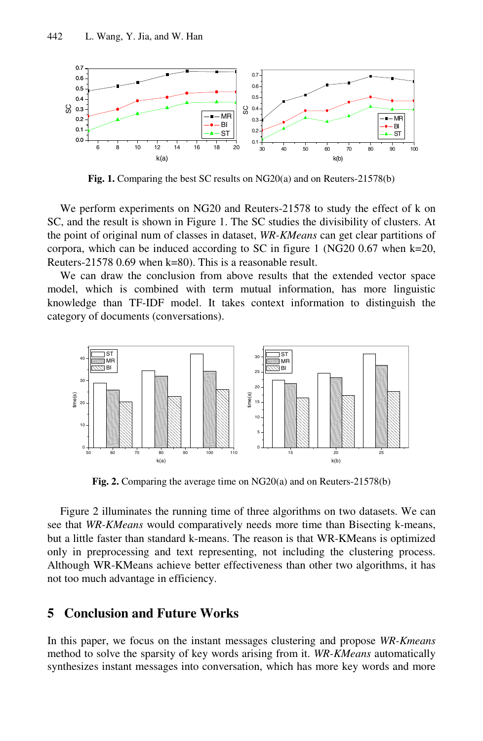

**Fig. 1.** Comparing the best SC results on NG20(a) and on Reuters-21578(b)

We perform experiments on NG20 and Reuters-21578 to study the effect of k on SC, and the result is shown in Figure 1. The SC studies the divisibility of clusters. At the point of original num of classes in dataset, *WR-KMeans* can get clear partitions of corpora, which can be induced according to SC in figure 1 (NG20 0.67 when k=20, Reuters-21578 0.69 when k=80). This is a reasonable result.

We can draw the conclusion from above results that the extended vector space model, which is combined with term mutual information, has more linguistic knowledge than TF-IDF model. It takes context information to distinguish the category of documents (conversations).



**Fig. 2.** Comparing the average time on NG20(a) and on Reuters-21578(b)

Figure 2 illuminates the running time of three algorithms on two datasets. We can see that *WR-KMeans* would comparatively needs more time than Bisecting k-means, but a little faster than standard k-means. The reason is that WR-KMeans is optimized only in preprocessing and text representing, not including the clustering process. Although WR-KMeans achieve better effectiveness than other two algorithms, it has not too much advantage in efficiency.

## **5 Conclusion and Future Works**

In this paper, we focus on the instant messages clustering and propose *WR-Kmeans* method to solve the sparsity of key words arising from it. *WR-KMeans* automatically synthesizes instant messages into conversation, which has more key words and more